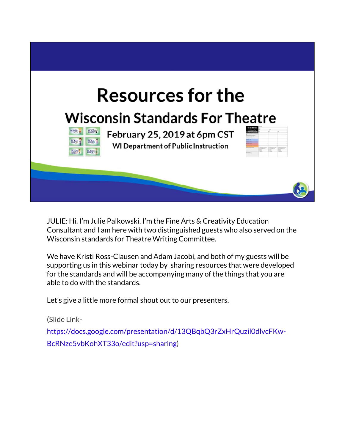

JULIE: Hi. I'm Julie Palkowski. I'm the Fine Arts & Creativity Education Consultant and I am here with two distinguished guests who also served on the Wisconsin standards for Theatre Writing Committee.

We have Kristi Ross-Clausen and Adam Jacobi, and both of my guests will be supporting us in this webinar today by sharing resources that were developed for the standards and will be accompanying many of the things that you are able to do with the standards.

Let's give a little more formal shout out to our presenters.

(Slide Link-

https://docs.google.com/presentation/d/13QBqbQ3rZxHrQuzil0dlvcFKw-BcRNze5vbKohXT33o/edit?usp=sharing)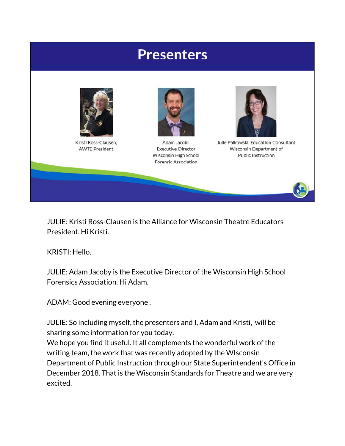

JULIE: Kristi Ross-Clausen is the Alliance for Wisconsin Theatre Educators President. Hi Kristi.

KRISTI: Hello.

JULIE: Adam Jacoby is the Executive Director of the Wisconsin High School Forensics Association. Hi Adam.

ADAM: Good evening everyone .

JULIE: So including myself, the presenters and I, Adam and Kristi, will be sharing some information for you today.

We hope you find it useful. It all complements the wonderful work of the writing team, the work that was recently adopted by the WIsconsin Department of Public Instruction through our State Superintendent's Office in December 2018. That is the Wisconsin Standards for Theatre and we are very excited.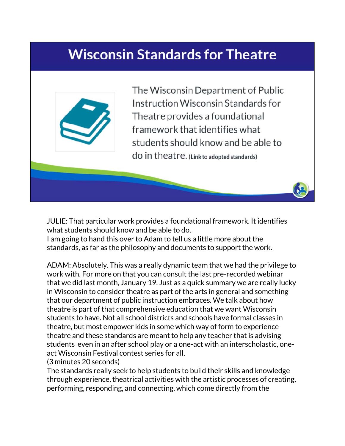## **Wisconsin Standards for Theatre**



The Wisconsin Department of Public Instruction Wisconsin Standards for Theatre provides a foundational framework that identifies what students should know and be able to do in theatre. (Link to adopted standards)

JULIE: That particular work provides a foundational framework. It identifies what students should know and be able to do.

I am going to hand this over to Adam to tell us a little more about the standards, as far as the philosophy and documents to support the work.

ADAM: Absolutely. This was a really dynamic team that we had the privilege to work with. For more on that you can consult the last pre-recorded webinar that we did last month, January 19. Just as a quick summary we are really lucky in Wisconsin to consider theatre as part of the arts in general and something that our department of public instruction embraces. We talk about how theatre is part of that comprehensive education that we want Wisconsin students to have. Not all school districts and schools have formal classes in theatre, but most empower kids in some which way of form to experience theatre and these standards are meant to help any teacher that is advising students even in an after school play or a one-act with an interscholastic, oneact Wisconsin Festival contest series for all.

(3 minutes 20 seconds)

The standards really seek to help students to build their skills and knowledge through experience, theatrical activities with the artistic processes of creating, performing, responding, and connecting, which come directly from the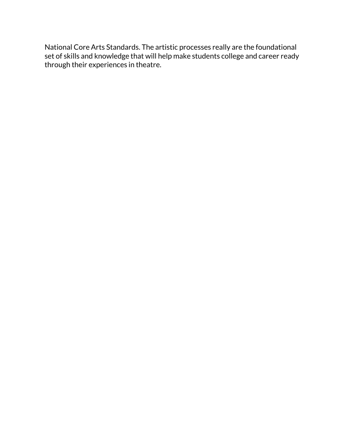National Core Arts Standards. The artistic processes really are the foundational set of skills and knowledge that will help make students college and career ready through their experiences in theatre.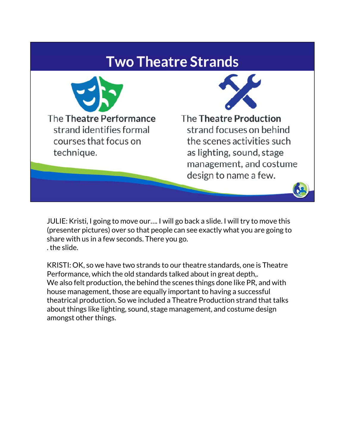### **Two Theatre Strands**



JULIE: Kristi, I going to move our…. I will go back a slide. I will try to move this (presenter pictures) over so that people can see exactly what you are going to share with us in a few seconds. There you go. . the slide.

KRISTI: OK, so we have two strands to our theatre standards, one is Theatre Performance, which the old standards talked about in great depth,. We also felt production, the behind the scenes things done like PR, and with house management, those are equally important to having a successful theatrical production. So we included a Theatre Production strand that talks about things like lighting, sound, stage management, and costume design amongst other things.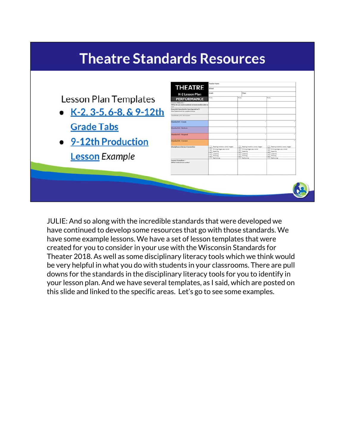# **Theatre Standards Resources**

| <b>Mandard #1 - Create</b><br><b>Grade Tabs</b><br><b>London EX - Partners</b><br><b><i><u><u><b>Intelact #3 - Respond</b></u></u></i></b><br><b>Standard BE - Connect</b><br>Disclofinary Literacy Connection<br>Reading Installat, unrest linears<br>Reading installation solicity, Imaged<br>Realize installon needs, imaged<br>The country bright have seen<br>T Telefong brings buss, wants<br>Winding Stoph GAL INVER<br>Speering<br>Spaning<br><b>Speaking</b><br><b>Halling</b><br><b>Distants</b><br>Statement<br><b>Lesson Example</b><br><b>Thinking</b><br>1 Passing<br><b>Barbonn</b><br><b>1 Parkentin</b><br>1 Facturering<br>Lesson Procedure -<br>Writish is the lesson ander? | <b>Lesson Plan Templates</b><br>$\bullet$ K-2, 3-5, 6-8, & 9-12th | Lesson Objective -<br>What do you want students to know and he able to<br>Expendial Questionhor learning and an't<br>Carl Mahamerd for student focus<br>Vocabulary for the Lesson |  |  |
|-------------------------------------------------------------------------------------------------------------------------------------------------------------------------------------------------------------------------------------------------------------------------------------------------------------------------------------------------------------------------------------------------------------------------------------------------------------------------------------------------------------------------------------------------------------------------------------------------------------------------------------------------------------------------------------------------|-------------------------------------------------------------------|-----------------------------------------------------------------------------------------------------------------------------------------------------------------------------------|--|--|
|                                                                                                                                                                                                                                                                                                                                                                                                                                                                                                                                                                                                                                                                                                 |                                                                   |                                                                                                                                                                                   |  |  |
|                                                                                                                                                                                                                                                                                                                                                                                                                                                                                                                                                                                                                                                                                                 |                                                                   |                                                                                                                                                                                   |  |  |
|                                                                                                                                                                                                                                                                                                                                                                                                                                                                                                                                                                                                                                                                                                 | • 9-12th Production                                               |                                                                                                                                                                                   |  |  |
|                                                                                                                                                                                                                                                                                                                                                                                                                                                                                                                                                                                                                                                                                                 |                                                                   |                                                                                                                                                                                   |  |  |
|                                                                                                                                                                                                                                                                                                                                                                                                                                                                                                                                                                                                                                                                                                 |                                                                   |                                                                                                                                                                                   |  |  |

JULIE: And so along with the incredible standards that were developed we have continued to develop some resources that go with those standards. We have some example lessons. We have a set of lesson templates that were created for you to consider in your use with the Wisconsin Standards for Theater 2018. As well as some disciplinary literacy tools which we think would be very helpful in what you do with students in your classrooms. There are pull downs for the standards in the disciplinary literacy tools for you to identify in your lesson plan. And we have several templates, as I said, which are posted on this slide and linked to the specific areas. Let's go to see some examples.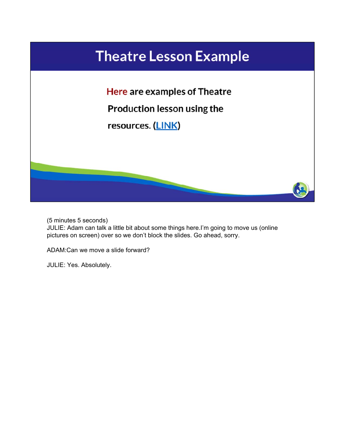

(5 minutes 5 seconds) JULIE: Adam can talk a little bit about some things here.I'm going to move us (online pictures on screen) over so we don't block the slides. Go ahead, sorry.

ADAM:Can we move a slide forward?

JULIE: Yes. Absolutely.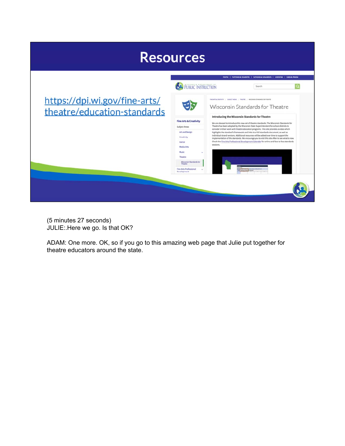

(5 minutes 27 seconds) JULIE:.Here we go. Is that OK?

ADAM: One more. OK, so if you go to this amazing web page that Julie put together for theatre educators around the state.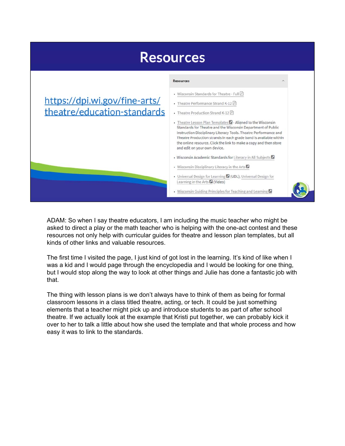

ADAM: So when I say theatre educators, I am including the music teacher who might be asked to direct a play or the math teacher who is helping with the one-act contest and these resources not only help with curricular guides for theatre and lesson plan templates, but all kinds of other links and valuable resources.

The first time I visited the page, I just kind of got lost in the learning. It's kind of like when I was a kid and I would page through the encyclopedia and I would be looking for one thing, but I would stop along the way to look at other things and Julie has done a fantastic job with that.

The thing with lesson plans is we don't always have to think of them as being for formal classroom lessons in a class titled theatre, acting, or tech. It could be just something elements that a teacher might pick up and introduce students to as part of after school theatre. If we actually look at the example that Kristi put together, we can probably kick it over to her to talk a little about how she used the template and that whole process and how easy it was to link to the standards.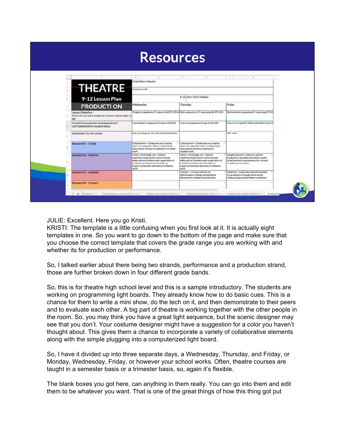|   |                                                                               | <b>Resources</b>                                                                                                                                                                                                      |                                                                                                                                                                                                                       |                                                                                                                                                            |
|---|-------------------------------------------------------------------------------|-----------------------------------------------------------------------------------------------------------------------------------------------------------------------------------------------------------------------|-----------------------------------------------------------------------------------------------------------------------------------------------------------------------------------------------------------------------|------------------------------------------------------------------------------------------------------------------------------------------------------------|
|   |                                                                               | $\rightarrow$                                                                                                                                                                                                         | D<br>z.                                                                                                                                                                                                               | $\sim$<br>$\alpha$                                                                                                                                         |
|   | <b>THEATRE</b>                                                                | Kristi Ross-Clausen<br>Anytown HS                                                                                                                                                                                     |                                                                                                                                                                                                                       |                                                                                                                                                            |
|   | 9-12 Lesson Plan                                                              |                                                                                                                                                                                                                       | 9-12 Intro Tech Theatre                                                                                                                                                                                               |                                                                                                                                                            |
| × | <b>PRODUCTI ON</b>                                                            | Wednesday                                                                                                                                                                                                             | Thursday                                                                                                                                                                                                              | Friday                                                                                                                                                     |
|   | Lesson Objective -<br>What do you want students to know and be able to<br>do? | Program a sequence of 5 cues on the ETC ION 1d Tech a sequence of 5 cues using the ETC ION                                                                                                                            |                                                                                                                                                                                                                       | Demonstrate a sequence of 5 cues using ETC IO                                                                                                              |
|   | Essential Questionfor learning and an'l<br>Can'statement for student focus    | I can program a sequence of cues on the ION                                                                                                                                                                           | I can run a sequence of cues on the ICIN                                                                                                                                                                              | I can run my cues for others and others can do ti                                                                                                          |
|   | Vocabulary for the Lesson                                                     | Cue, record, go-to, out, full, channel, intensity                                                                                                                                                                     |                                                                                                                                                                                                                       | GO!, Hold                                                                                                                                                  |
|   | Standard #1 - Create                                                          | Collaboration - Collaborate as a creative<br>team with specified roles to make artistic.<br>interpretive choices in a devised or scripted<br>work.                                                                    | Collaboration - Collaborate as a creative<br>team with specified roles to make artistic.<br>interpretive choices in a devised or<br>scripted work.                                                                    |                                                                                                                                                            |
|   | Standard #2 - Perform                                                         | Tools & Technology Use - Operate<br>machinary/tools and/or control boards<br>safely and as directed under supervision of<br>a teacher/professional technician to<br>support production elements of a theatre<br>work. | Tools & Technology Use - Operate<br>machinery/tools and/or control boards<br>safely and as directed under supervision of<br>a teacher/professional technician to<br>support production elements of a theatre<br>work. | Design Exacution - Exacute a specific<br>production role safety and within overall<br>script/technical requirements for a school<br>or public performance. |
|   | Standard #3 - Respond                                                         |                                                                                                                                                                                                                       | Analysis - Critically analyze the<br>effectiveness of design and technical<br>elements for a theatrical production.                                                                                                   | Raflection - Assess personal participation<br>in a production through constructive<br>critique using precise theatre vocabulary.                           |
|   | <b>Standard #4 - Connect</b>                                                  |                                                                                                                                                                                                                       |                                                                                                                                                                                                                       |                                                                                                                                                            |

JULIE: Excellent. Here you go Kristi.

KRISTI: The template is a little confusing when you first look at it. It is actually eight templates in one. So you want to go down to the bottom of the page and make sure that you choose the correct template that covers the grade range you are working with and whether its for production or performance.

So, I talked earlier about there being two strands, performance and a production strand, those are further broken down in four different grade bands.

So, this is for theatre high school level and this is a sample introductory. The students are working on programming light boards. They already know how to do basic cues. This is a chance for them to write a mini show, do the tech on it, and then demonstrate to their peers and to evaluate each other. A big part of theatre is working together with the other people in the room. So, you may think you have a great light sequence, but the scenic designer may see that you don't. Your costume designer might have a suggestion for a color you haven't thought about. This gives them a chance to incorporate a variety of collaborative elements along with the simple plugging into a computerized light board.

So, I have it divided up into three separate days, a Wednesday, Thursday, and Friday, or Monday, Wednesday, Friday, or however your school works. Often, theatre courses are taught in a semester basis or a trimester basis, so, again it's flexible.

The blank boxes you got here, can anything in them really. You can go into them and edit them to be whatever you want. That is one of the great things of how this thing got put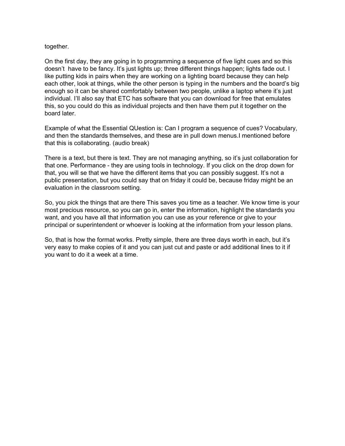#### together.

On the first day, they are going in to programming a sequence of five light cues and so this doesn't have to be fancy. It's just lights up; three different things happen; lights fade out. I like putting kids in pairs when they are working on a lighting board because they can help each other, look at things, while the other person is typing in the numbers and the board's big enough so it can be shared comfortably between two people, unlike a laptop where it's just individual. I'll also say that ETC has software that you can download for free that emulates this, so you could do this as individual projects and then have them put it together on the board later.

Example of what the Essential QUestion is: Can I program a sequence of cues? Vocabulary, and then the standards themselves, and these are in pull down menus.I mentioned before that this is collaborating. (audio break)

There is a text, but there is text. They are not managing anything, so it's just collaboration for that one. Performance - they are using tools in technology. If you click on the drop down for that, you will se that we have the different items that you can possibly suggest. It's not a public presentation, but you could say that on friday it could be, because friday might be an evaluation in the classroom setting.

So, you pick the things that are there This saves you time as a teacher. We know time is your most precious resource, so you can go in, enter the information, highlight the standards you want, and you have all that information you can use as your reference or give to your principal or superintendent or whoever is looking at the information from your lesson plans.

So, that is how the format works. Pretty simple, there are three days worth in each, but it's very easy to make copies of it and you can just cut and paste or add additional lines to it if you want to do it a week at a time.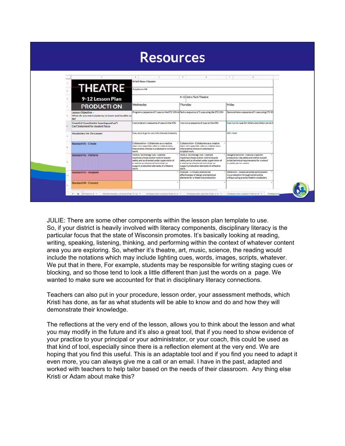|  |                                                                               | <b>Resources</b>                                                                                                                                                                                                      |              |                                                                                                                                                                                                              |                                                                                                                                                            |
|--|-------------------------------------------------------------------------------|-----------------------------------------------------------------------------------------------------------------------------------------------------------------------------------------------------------------------|--------------|--------------------------------------------------------------------------------------------------------------------------------------------------------------------------------------------------------------|------------------------------------------------------------------------------------------------------------------------------------------------------------|
|  |                                                                               | $\qquad \qquad \qquad \qquad \qquad$<br>$\sim$                                                                                                                                                                        | $\mathbb{D}$ | z.                                                                                                                                                                                                           | $\sim$<br>$\alpha$                                                                                                                                         |
|  | <b>THEATRE</b>                                                                | Kristi Ross-Clausen<br>Anytown HS                                                                                                                                                                                     |              |                                                                                                                                                                                                              |                                                                                                                                                            |
|  | 9-12 Lesson Plan                                                              |                                                                                                                                                                                                                       |              | 9-12 Intro Tech Theatre                                                                                                                                                                                      |                                                                                                                                                            |
|  | <b>PRODUCTI ON</b>                                                            | Wednesday                                                                                                                                                                                                             | Thursday     |                                                                                                                                                                                                              | Friday                                                                                                                                                     |
|  | Lesson Objective -<br>What do you want students to know and be able to<br>do? | Program a sequence of 5 cues on the ETC ION to Tech a sequence of 5 cues using the ETC ION                                                                                                                            |              |                                                                                                                                                                                                              | Demonstrate a sequence of 5 cues using ETC IO                                                                                                              |
|  | Essential Questionfor learning and an''l<br>Can'statement for student focus   | I can program a sequence of cues on the ION                                                                                                                                                                           |              | I can run a sequence of cues on the ICIN                                                                                                                                                                     | can run my cues for others and others can do ti                                                                                                            |
|  | Vocabulary for the Lesson                                                     | Cue, record, go-to, out, full, channel, intensity                                                                                                                                                                     |              |                                                                                                                                                                                                              | GO!, Hold                                                                                                                                                  |
|  | Standard #1 - Create                                                          | Collaboration - Collaborate as a creative<br>team with specified roles to make artistic.<br>interpretive choices in a devised or scripted<br>work.                                                                    |              | Collaboration - Collaborate as a creative<br>team with specified roles to make artistic.<br>interpretive choices in a devised or<br>scripted work.                                                           |                                                                                                                                                            |
|  | Standard #2 - Perform                                                         | Tools & Technology Use - Operate<br>machinary/tools and/or control boards<br>safely and as directed under supervision of<br>a teacher/professional technician to<br>support production alements of a theatre<br>work. | work.        | Tools & Technology Use - Operate<br>machinery/tools and/or control boards<br>safely and as directed under supervision of<br>a teacher/professional technician to<br>support production elements of a theatre | Design Execution - Execute a specific<br>production role safely and within overall<br>script/technical requirements for a school<br>or public performance. |
|  | Standard #3 - Respond                                                         |                                                                                                                                                                                                                       |              | Analysis - Critically analyze the<br>effectiveness of design and technical<br>elements for a theatrical production.                                                                                          | Raflection - Assess personal participation<br>in a production through constructive<br>critique using precise theatre vocabulary.                           |
|  | <b>Standard #4 - Connect</b>                                                  |                                                                                                                                                                                                                       |              |                                                                                                                                                                                                              |                                                                                                                                                            |

JULIE: There are some other components within the lesson plan template to use. So, if your district is heavily involved with literacy components, disciplinary literacy is the particular focus that the state of Wisconsin promotes. It's basically looking at reading, writing, speaking, listening, thinking, and performing within the context of whatever content area you are exploring. So, whether it's theatre, art, music, science, the reading would include the notations which may include lighting cues, words, images, scripts, whatever. We put that in there, For example, students may be responsible for writing staging cues or blocking, and so those tend to look a little different than just the words on a page. We wanted to make sure we accounted for that in disciplinary literacy connections.

Teachers can also put in your procedure, lesson order, your assessment methods, which Kristi has done, as far as what students will be able to know and do and how they will demonstrate their knowledge.

The reflections at the very end of the lesson, allows you to think about the lesson and what you may modify in the future and it's also a great tool, that if you need to show evidence of your practice to your principal or your administrator, or your coach, this could be used as that kind of tool, especially since there is a reflection element at the very end. We are hoping that you find this useful. This is an adaptable tool and if you find you need to adapt it even more, you can always give me a call or an email. I have in the past, adapted and worked with teachers to help tailor based on the needs of their classroom. Any thing else Kristi or Adam about make this?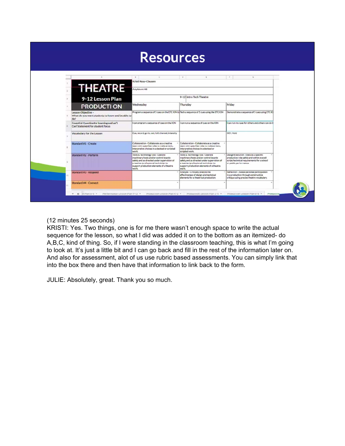|   |                                                                             | <b>Resources</b>                                                                                                                                                                                                      |                                                                                                                                                                                                                        |                                                                                                                                                            |
|---|-----------------------------------------------------------------------------|-----------------------------------------------------------------------------------------------------------------------------------------------------------------------------------------------------------------------|------------------------------------------------------------------------------------------------------------------------------------------------------------------------------------------------------------------------|------------------------------------------------------------------------------------------------------------------------------------------------------------|
|   |                                                                             | $\qquad \qquad \qquad \qquad$                                                                                                                                                                                         | $\mathbb{D}$<br>z.                                                                                                                                                                                                     | $\sim$<br>$\alpha$                                                                                                                                         |
|   | <b>THEATRE</b>                                                              | Kristi Ross-Clausen<br>Anytown HS                                                                                                                                                                                     |                                                                                                                                                                                                                        |                                                                                                                                                            |
|   | 9-12 Lesson Plan                                                            |                                                                                                                                                                                                                       | 9-12 Intro Tech Theatre                                                                                                                                                                                                |                                                                                                                                                            |
| × | <b>PRODUCTI ON</b>                                                          | Wednesday                                                                                                                                                                                                             | Thursday                                                                                                                                                                                                               | Friday                                                                                                                                                     |
|   | Lesson Objective -<br>What do you want students to know and be able to      | Program a sequence of 5 cues on the ETC ION 1d Tech a sequence of 5 cues using the ETC ION                                                                                                                            |                                                                                                                                                                                                                        | Demonstrate a sequence of 5 cues using ETC IO                                                                                                              |
|   | Essential Questionfor learning and an''l<br>Can'statement for student focus | I can program a sequence of cues on the ION                                                                                                                                                                           | I can run a sequence of cues on the ICIN                                                                                                                                                                               | can run my cues for others and others can do til                                                                                                           |
|   | Vocabulary for the Lesson                                                   | Cue, record, go-to, out, full, channel, intensity                                                                                                                                                                     |                                                                                                                                                                                                                        | GO!, Hold                                                                                                                                                  |
|   | Standard #1 - Create                                                        | Collaboration - Collaborate as a creative<br>team with specified roles to make artistic.<br>interpretive choices in a devised or scripted<br>work.                                                                    | Collaboration - Collaborate as a creative<br>team with specified roles to make artistic.<br>interpretive choices in a devised or<br>scripted work.                                                                     |                                                                                                                                                            |
|   | Standard #2 - Perform                                                       | Tools & Technology Use - Operate<br>machinary/tools and/or control boards<br>safely and as directed under supervision of<br>a teacher/professional technician to<br>support production alaments of a theatre<br>work. | Tools & Technology Use - Operate<br>machinery/tools and/or control boards<br>safely and as directed under supervision of<br>a teacher/professional technician to<br>support production elements of a theatre.<br>work. | Design Exacution - Exacute a specific<br>production role safely and within overall<br>script/technical requirements for a school<br>or public performance. |
|   | Standard #3 - Respond                                                       |                                                                                                                                                                                                                       | Analysis - Critically analyze the<br>effectiveness of design and technical<br>elements for a theatrical production.                                                                                                    | Raflection - Assess personal participation<br>in a production through constructive<br>critique using precise theatre vocabulary.                           |
|   | <b>Standard #4 - Connect</b>                                                |                                                                                                                                                                                                                       |                                                                                                                                                                                                                        |                                                                                                                                                            |

#### (12 minutes 25 seconds)

KRISTI: Yes. Two things, one is for me there wasn't enough space to write the actual sequence for the lesson, so what I did was added it on to the bottom as an itemized- do A,B,C, kind of thing. So, if I were standing in the classroom teaching, this is what I'm going to look at. It's just a little bit and I can go back and fill in the rest of the information later on. And also for assessment, alot of us use rubric based assessments. You can simply link that into the box there and then have that information to link back to the form.

JULIE: Absolutely, great. Thank you so much.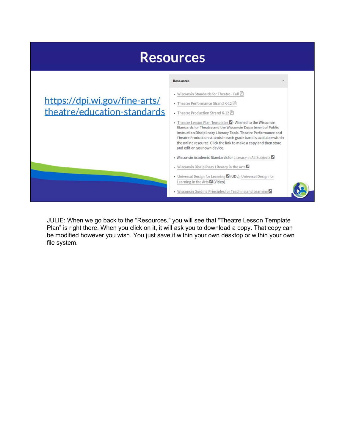

JULIE: When we go back to the "Resources," you will see that "Theatre Lesson Template Plan" is right there. When you click on it, it will ask you to download a copy. That copy can be modified however you wish. You just save it within your own desktop or within your own file system.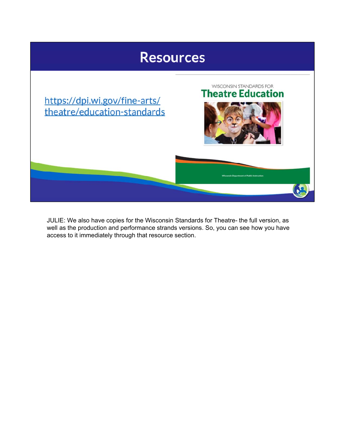

JULIE: We also have copies for the Wisconsin Standards for Theatre- the full version, as well as the production and performance strands versions. So, you can see how you have access to it immediately through that resource section.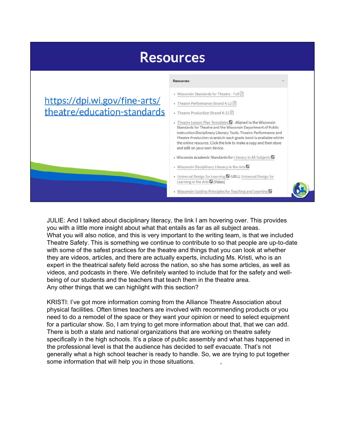

JULIE: And I talked about disciplinary literacy, the link I am hovering over. This provides you with a little more insight about what that entails as far as all subject areas. What you will also notice, and this is very important to the writing team, is that we included Theatre Safety. This is something we continue to contribute to so that people are up-to-date with some of the safest practices for the theatre and things that you can look at whether they are videos, articles, and there are actually experts, including Ms. Kristi, who is an expert in the theatrical safety field across the nation, so she has some articles, as well as videos, and podcasts in there. We definitely wanted to include that for the safety and wellbeing of our students and the teachers that teach them in the theatre area. Any other things that we can highlight with this section?

KRISTI: I've got more information coming from the Alliance Theatre Association about physical facilities. Often times teachers are involved with recommending products or you need to do a remodel of the space or they want your opinion or need to select equipment for a particular show. So, I am trying to get more information about that, that we can add. There is both a state and national organizations that are working on theatre safety specifically in the high schools. It's a place of public assembly and what has happened in the professional level is that the audience has decided to self evacuate. That's not generally what a high school teacher is ready to handle. So, we are trying to put together some information that will help you in those situations.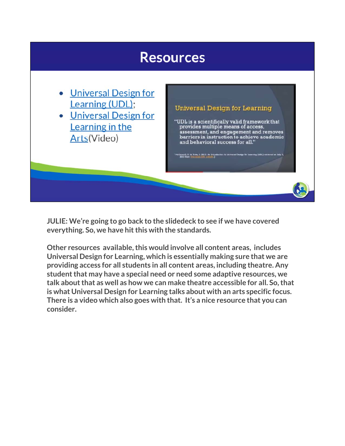### **Resources**

- Universal Design for Learning (UDL);
- Universal Design for Learning in the Arts(Video)

### Universal Design for Learning

"UDL is a scientifically valid framework that provides multiple means of access, assessment, and engagement and removes barriers in instruction to achieve academic and behavioral success for all."

**JULIE: We're going to go back to the slidedeck to see if we have covered everything. So, we have hit this with the standards.**

**Other resources available, this would involve all content areas, includes Universal Design for Learning, which is essentially making sure that we are providing access for all students in all content areas, including theatre. Any student that may have a special need or need some adaptive resources, we talk about that as well as how we can make theatre accessible for all. So, that is what Universal Design for Learning talks about with an arts specific focus. There is a video which also goes with that. It's a nice resource that you can consider.**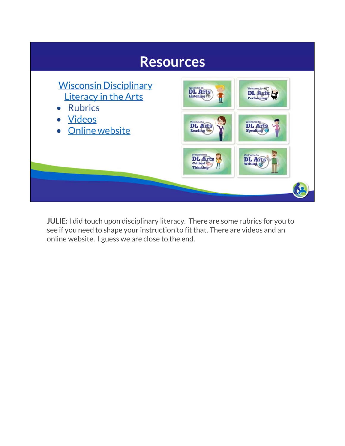

**JULIE:** I did touch upon disciplinary literacy. There are some rubrics for you to see if you need to shape your instruction to fit that. There are videos and an online website. I guess we are close to the end.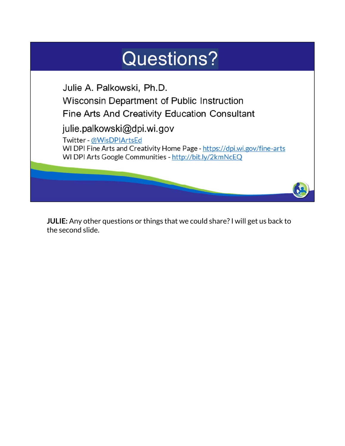

**JULIE:** Any other questions or things that we could share? I will get us back to the second slide.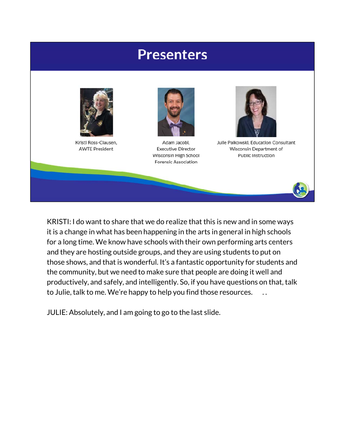### **Presenters**



Kristi Ross-Clausen, **AWTE President** 



Adam Jacobi. **Executive Director** Wisconsin High School Forensic Association



Julie Palkowski, Education Consultant Wisconsin Department of Public Instruction

KRISTI: I do want to share that we do realize that this is new and in some ways it is a change in what has been happening in the arts in general in high schools for a long time. We know have schools with their own performing arts centers and they are hosting outside groups, and they are using students to put on those shows, and that is wonderful. It's a fantastic opportunity for students and the community, but we need to make sure that people are doing it well and productively, and safely, and intelligently. So, if you have questions on that, talk to Julie, talk to me. We're happy to help you find those resources. . .

JULIE: Absolutely, and I am going to go to the last slide.